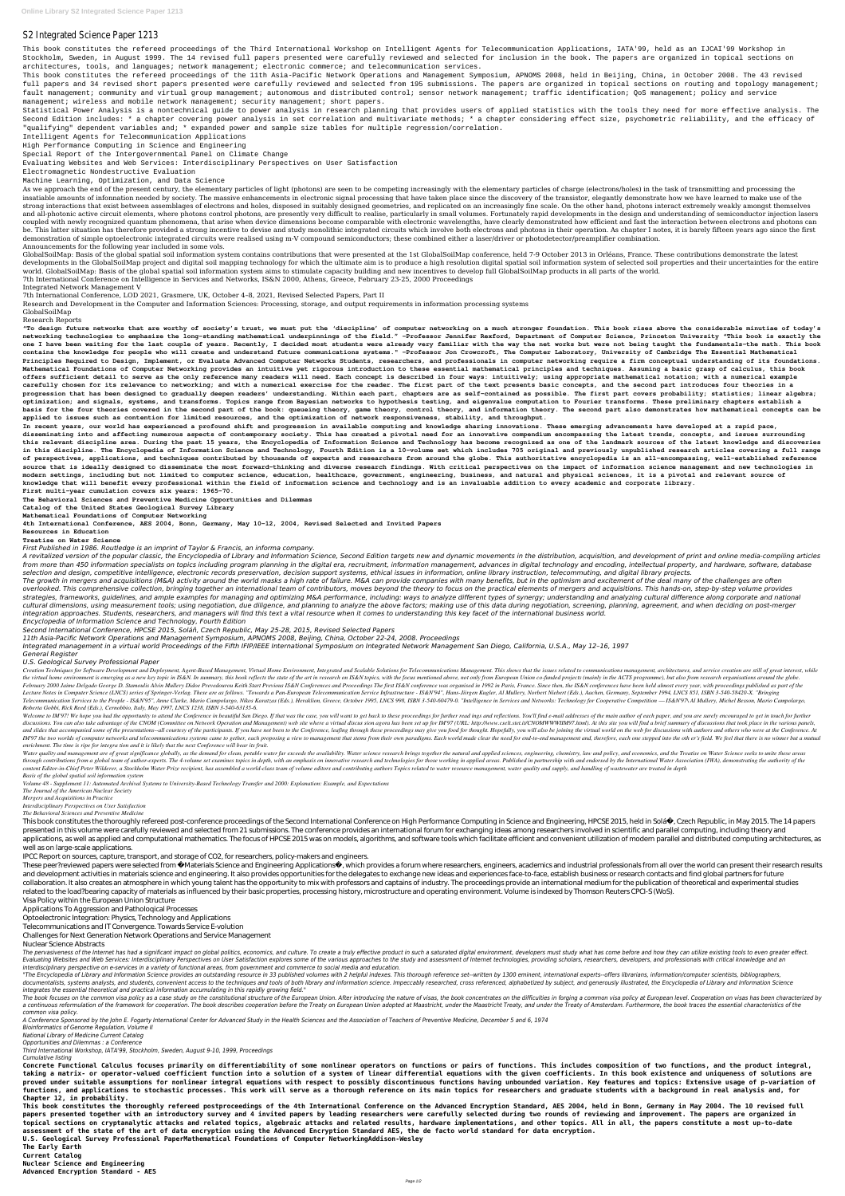This book constitutes the refereed proceedings of the Third International Workshop on Intelligent Agents for Telecommunication Applications, IATA'99, held as an IJCAI'99 Workshop in Stockholm, Sweden, in August 1999. The 14 revised full papers presented were carefully reviewed and selected for inclusion in the book. The papers are organized in topical sections on architectures, tools, and languages; network management; electronic commerce; and telecommunication services.

## S2 Integrated Science Paper 1213

This book constitutes the refereed proceedings of the 11th Asia-Pacific Network Operations and Management Symposium, APNOMS 2008, held in Beijing, China, in October 2008. The 43 revised full papers and 34 revised short papers presented were carefully reviewed and selected from 195 submissions. The papers are organized in topical sections on routing and topology management; fault management; community and virtual group management; autonomous and distributed control; sensor network management; traffic identification; OoS management; policy and service management; wireless and mobile network management; security management; short papers.

Statistical Power Analysis is a nontechnical guide to power analysis in research planning that provides users of applied statistics with the tools they need for more effective analysis. The Second Edition includes: \* a chapter covering power analysis in set correlation and multivariate methods; \* a chapter considering effect size, psychometric reliability, and the efficacy of "qualifying" dependent variables and; \* expanded power and sample size tables for multiple regression/correlation.

Intelligent Agents for Telecommunication Applications

High Performance Computing in Science and Engineering

Special Report of the Intergovernmental Panel on Climate Change

As we approach the end of the present century, the elementary particles of light (photons) are seen to be competing increasingly with the elementary particles of charge (electrons/holes) in the task of transmitting and pro insatiable amounts of infonnation needed by society. The massive enhancements in electronic signal processing that have taken place since the discovery of the transistor, elegantly demonstrate how we have learned to make u strong interactions that exist between assemblages of electrons and holes, disposed in suitably designed geometries, and replicated on an increasingly fine scale. On the other hand, photons interact extremely weakly amongs and all-photonic active circuit elements, where photons control photons, are presently very difficult to realise, particularly in small volumes. Fortunately rapid developments in the design and understanding of semiconduct coupled with newly recognized quantum phenomena, that arise when device dimensions become comparable with electronic wavelengths, have clearly demonstrated how efficient and fast the interaction between electrons and photo be. This latter situation has therefore provided a strong incentive to devise and study monolithic integrated circuits which involve both electrons and photons in their operation. As chapter I notes, it is barely fifteen y demonstration of simple optoelectronic integrated circuits were realised using m-V compound semiconductors; these combined either a laser/driver or photodetector/preamplifier combination. Announcements for the following year included in some vols.

Evaluating Websites and Web Services: Interdisciplinary Perspectives on User Satisfaction

Electromagnetic Nondestructive Evaluation

Machine Learning, Optimization, and Data Science

GlobalSoilMap: Basis of the global spatial soil information system contains contributions that were presented at the 1st GlobalSoilMap conference, held 7-9 October 2013 in Orléans, France. These contributions demonstrate t developments in the GlobalSoilMap project and digital soil mapping technology for which the ultimate aim is to produce a high resolution digital spatial soil information system of selected soil properties and their uncerta world. GlobalSoilMap: Basis of the global spatial soil information system aims to stimulate capacity building and new incentives to develop full GlobalSoilMap products in all parts of the world.

7th International Conference on Intelligence in Services and Networks, IS&N 2000, Athens, Greece, February 23-25, 2000 Proceedings

Integrated Network Management V

7th International Conference, LOD 2021, Grasmere, UK, October 4–8, 2021, Revised Selected Papers, Part II

Research and Development in the Computer and Information Sciences: Processing, storage, and output requirements in information processing systems

## GlobalSoilMap

Research Reports

A revitalized version of the popular classic, the Encyclopedia of Library and Information Science, Second Edition targets new and dynamic movements in the distribution, acquisition, and development of print and online medi from more than 450 information specialists on topics including program planning in the digital era, recruitment, information management, advances in digital technology and encoding, intellectual property, and hardware, sof *selection and design, competitive intelligence, electronic records preservation, decision support systems, ethical issues in information, online library instruction, telecommuting, and digital library projects.*

The growth in mergers and acquisitions (M&A) activity around the world masks a high rate of failure. M&A can provide companies with many benefits, but in the optimism and excitement of the deal many of the challenges are o overlooked. This comprehensive collection, bringing together an international team of contributors, moves beyond the theory to focus on the practical elements of mergers and acquisitions. This hands-on, step-by-step volume strategies, frameworks, guidelines, and ample examples for managing and optimizing M&A performance, including: ways to analyze different types of synergy; understanding and analyzing cultural difference along corporate and cultural dimensions, using measurement tools; using negotiation, due diligence, and planning to analyze the above factors; making use of this data during negotiation, screening, planning, agreement, and when deciding on po *integration approaches. Students, researchers, and managers will find this text a vital resource when it comes to understanding this key facet of the international business world.*

**"To design future networks that are worthy of society's trust, we must put the 'discipline' of computer networking on a much stronger foundation. This book rises above the considerable minutiae of today's networking technologies to emphasize the long-standing mathematical underpinnings of the field." –Professor Jennifer Rexford, Department of Computer Science, Princeton University "This book is exactly the one I have been waiting for the last couple of years. Recently, I decided most students were already very familiar with the way the net works but were not being taught the fundamentals–the math. This book contains the knowledge for people who will create and understand future communications systems." –Professor Jon Crowcroft, The Computer Laboratory, University of Cambridge The Essential Mathematical Principles Required to Design, Implement, or Evaluate Advanced Computer Networks Students, researchers, and professionals in computer networking require a firm conceptual understanding of its foundations. Mathematical Foundations of Computer Networking provides an intuitive yet rigorous introduction to these essential mathematical principles and techniques. Assuming a basic grasp of calculus, this book offers sufficient detail to serve as the only reference many readers will need. Each concept is described in four ways: intuitively; using appropriate mathematical notation; with a numerical example carefully chosen for its relevance to networking; and with a numerical exercise for the reader. The first part of the text presents basic concepts, and the second part introduces four theories in a progression that has been designed to gradually deepen readers' understanding. Within each part, chapters are as self-contained as possible. The first part covers probability; statistics; linear algebra; optimization; and signals, systems, and transforms. Topics range from Bayesian networks to hypothesis testing, and eigenvalue computation to Fourier transforms. These preliminary chapters establish a basis for the four theories covered in the second part of the book: queueing theory, game theory, control theory, and information theory. The second part also demonstrates how mathematical concepts can be applied to issues such as contention for limited resources, and the optimization of network responsiveness, stability, and throughput.**

Creation Techniques for Software Development and Deployment, Agent-Based Management, Virtual Home Environment, Integrated and Scalable Solutions for Telecommunications Management. This shows that the issues related to comm the virtual home environment is emerging as a new key topic in IS&N. In summary, this book reflects the state of the art in research on IS&N topics, with the focus mentioned above, not only from European Union co-funded pr February 2000 Jaime Delgado George D. Stamoulis Alvin Mullery Didoe Prevedourou Keith Start Previous IS&N Conferences and Proceedings The first IS&N conference was organised in 1992 in Paris, France. Since then, the IS&N c Lecture Notes in Computer Science (LNCS) series of Springer-Verlag. These are as follows. "Towards a Pan-European Telecommunication Service Infrastructure - IS&N'94", Hans-Jürgen Kugler, Al Mullery, Norbert Niebert (Eds.), Telecommunication Services to the People - IS&N'95", Anne Clarke, Mario Campolargo, Nikos Karatzas (Eds.), Heraklion, Greece, October 1995, LNCS 998, ISBN 3-540-60479-0. "Intelligence in Services and Networks: Technology f *Roberta Gobbi, Rick Reed (Eds.), Cernobbio, Italy, May 1997, LNCS 1238, ISBN 3-540-63135-6.*

Welcome to IM'97! We hope you had the opportunity to attend the Conference in beautiful San Diego. If that was the case, you will want to get back to these proceedings for further read ings and reflections. You'll find e-m discussions. You can also take advantage of the CNOM (Committee on Network Operation and Management) web site where a virtual discus sion agora has been set up for IM'97 (URL: http://www.cselt.stet.it/CNOMWWWIIM97.html). A and slides that accompanied some of the presentations--all courtesy of the participants. If you have not been to the Conference, leafing through these proceedings may give you food for thought. Hopefully, you will also be IM'97 the two worlds of computer networks and telecommunications systems came to gether, each proposing a view to management that stems from their own paradigms. Each world made clear the need for end-to-end management and *enrichment. The time is ripe for integra tion and it is likely that the next Conference will bear its fruit.*

Water quality and management are of great significance globally, as the demand for clean, potable water far exceeds the availability. Water science research brings together the natural and applied sciences, engineering, ch through contributions from a global team of author-experts. The 4-volume set examines topics in depth, with an emphasis on innovative research and technologies for those working in applied areas. Published in partnership w content Editor-in-Chief Peter Wilderer, a Stockholm Water Prize recipient, has assembled a world-class team of volume editors and contributing authors Topics related to water resource management, water quality and supply, *Basis of the global spatial soil information system*

**In recent years, our world has experienced a profound shift and progression in available computing and knowledge sharing innovations. These emerging advancements have developed at a rapid pace, disseminating into and affecting numerous aspects of contemporary society. This has created a pivotal need for an innovative compendium encompassing the latest trends, concepts, and issues surrounding this relevant discipline area. During the past 15 years, the Encyclopedia of Information Science and Technology has become recognized as one of the landmark sources of the latest knowledge and discoveries in this discipline. The Encyclopedia of Information Science and Technology, Fourth Edition is a 10-volume set which includes 705 original and previously unpublished research articles covering a full range of perspectives, applications, and techniques contributed by thousands of experts and researchers from around the globe. This authoritative encyclopedia is an all-encompassing, well-established reference source that is ideally designed to disseminate the most forward-thinking and diverse research findings. With critical perspectives on the impact of information science management and new technologies in modern settings, including but not limited to computer science, education, healthcare, government, engineering, business, and natural and physical sciences, it is a pivotal and relevant source of knowledge that will benefit every professional within the field of information science and technology and is an invaluable addition to every academic and corporate library. First multi-year cumulation covers six years: 1965-70.**

This book constitutes the thoroughly refereed post-conference proceedings of the Second International Conference on High Performance Computing in Science and Engineering, HPCSE 2015, held in Solá, Czech Republic, in May 20 presented in this volume were carefully reviewed and selected from 21 submissions. The conference provides an international forum for exchanging ideas among researchers involved in scientific and parallel computing, includ applications, as well as applied and computational mathematics. The focus of HPCSE 2015 was on models, algorithms, and software tools which facilitate efficient and convenient utilization of modern parallel and distributed well as on large-scale applications.

**The Behavioral Sciences and Preventive Medicine Opportunities and Dilemmas**

These peer?reviewed papers were selected from Materials Science and Engineering Applications , which provides a forum where researchers, engineers, academics and industrial professionals from all over the world can present and development activities in materials science and engineering. It also provides opportunities for the delegates to exchange new ideas and experiences face-to-face, establish business or research contacts and find global collaboration. It also creates an atmosphere in which young talent has the opportunity to mix with professors and captains of industry. The proceedings provide an international medium for the publication of theoretical and related to the load?bearing capacity of materials as influenced by their basic properties, processing history, microstructure and operating environment. Volume is indexed by Thomson Reuters CPCI-S (WoS). Visa Policy within the European Union Structure

**Catalog of the United States Geological Survey Library**

**Mathematical Foundations of Computer Networking**

**4th International Conference, AES 2004, Bonn, Germany, May 10-12, 2004, Revised Selected and Invited Papers**

**Resources in Education**

**Treatise on Water Science**

*First Published in 1986. Routledge is an imprint of Taylor & Francis, an informa company.*

The pervasiveness of the Internet has had a significant impact on global politics, economics, and culture. To create a truly effective product in such a saturated digital environment, developers must study what has come be Evaluating Websites and Web Services: Interdisciplinary Perspectives on User Satisfaction explores some of the various approaches to the study and assessment of Internet technologies, providing scholars, researchers, devel *interdisciplinary perspective on e-services in a variety of functional areas, from government and commerce to social media and education.*

"The Encyclopedia of Library and Information Science provides an outstanding resource in 33 published volumes with 2 helpful indexes. This thorough reference set--written by 1300 eminent, international experts--offers libr documentalists, systems analysts, and students, convenient access to the techniques and tools of both library and information science. Impeccably researched, cross referenced, alphabetized by subject, and generously illust *integrates the essential theoretical and practical information accumulating in this rapidly growing field."*

The book focuses on the common visa policy as a case study on the constitutional structure of the European Union. After introducing the nature of visas, the book concentrates on the difficulties in forging a common visa po a continuous reformulation of the framework for cooperation. The book describes cooperation before the Treaty on European Union adopted at Maastricht Treaty, and under the Treaty of Amsterdam. Furthermore, the book traces *common visa policy.*

*Encyclopedia of Information Science and Technology, Fourth Edition*

*Second International Conference, HPCSE 2015, Soláň, Czech Republic, May 25-28, 2015, Revised Selected Papers*

*11th Asia-Pacific Network Operations and Management Symposium, APNOMS 2008, Beijing, China, October 22-24, 2008. Proceedings*

*Integrated management in a virtual world Proceedings of the Fifth IFIP/IEEE International Symposium on Integrated Network Management San Diego, California, U.S.A., May 12–16, 1997*

*General Register*

## *U.S. Geological Survey Professional Paper*

*Volume 48 - Supplement 11: Automated Archival Systems to University-Based Technology Transfer and 2000: Explanation: Example, and Expectations*

*The Journal of the American Nuclear Society*

*Mergers and Acquisitions in Practice*

*Interdisciplinary Perspectives on User Satisfaction*

*The Behavioral Sciences and Preventive Medicine*

IPCC Report on sources, capture, transport, and storage of CO2, for researchers, policy-makers and engineers.

Applications To Aggression and Patholoqical Processes

Optoelectronic Integration: Physics, Technology and Applications

Telecommunications and IT Convergence. Towards Service E-volution

Challenges for Next Generation Network Operations and Service Management

Nuclear Science Abstracts

*A Conference Sponsored by the John E. Fogarty International Center for Advanced Study in the Health Sciences and the Association of Teachers of Preventive Medicine, December 5 and 6, 1974*

*Bioinformatics of Genome Regulation, Volume II*

*National Library of Medicine Current Catalog*

*Opportunities and Dilemmas : a Conference*

*Third International Workshop, IATA'99, Stockholm, Sweden, August 9-10, 1999, Proceedings*

*Cumulative listing*

**Concrete Functional Calculus focuses primarily on differentiability of some nonlinear operators on functions or pairs of functions. This includes composition of two functions, and the product integral, taking a matrix- or operator-valued coefficient function into a solution of a system of linear differential equations with the given coefficients. In this book existence and uniqueness of solutions are proved under suitable assumptions for nonlinear integral equations with respect to possibly discontinuous functions having unbounded variation. Key features and topics: Extensive usage of p-variation of functions, and applications to stochastic processes. This work will serve as a thorough reference on its main topics for researchers and graduate students with a background in real analysis and, for Chapter 12, in probability.**

**This book constítutes the thoroughly refereed postproceedings of the 4th International Conference on the Advanced Encryption Standard, AES 2004, held in Bonn, Germany in May 2004. The 10 revised full papers presented together with an introductory survey and 4 invited papers by leading researchers were carefully selected during two rounds of reviewing and improvement. The papers are organized in topical sections on cryptanalytic attacks and related topics, algebraic attacks and related results, hardware implementations, and other topics. All in all, the papers constitute a most up-to-date assessment of the state of the art of data encryption using the Advanced Encryption Standard AES, the de facto world standard for data encryption.**

**U.S. Geological Survey Professional PaperMathematical Foundations of Computer NetworkingAddison-Wesley**

**The Early Earth Current Catalog Nuclear Science and Engineering**

**Advanced Encryption Standard - AES**